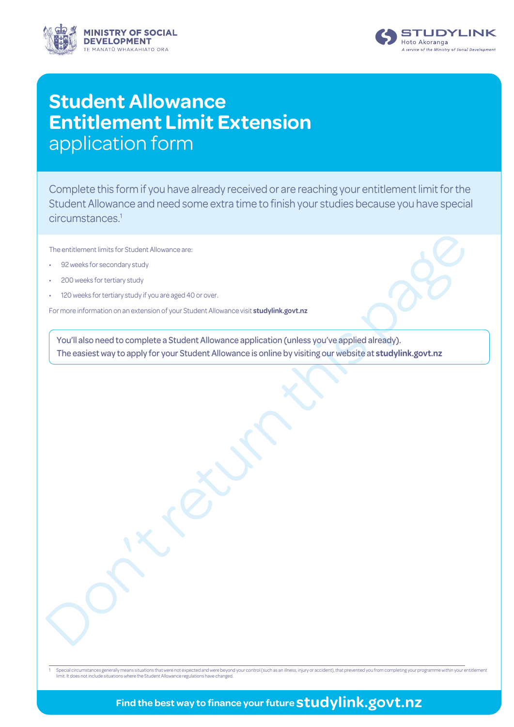



# **Student Allowance Entitlement Limit Extension** application form

Complete this form if you have already received or are reaching your entitlement limit for the Student Allowance and need some extra time to finish your studies because you have special circumstances.1

The entitlement limits for Student Allowance are:

- 92 weeks for secondary study
- 200 weeks for tertiary study
- 120 weeks for tertiary study if you are aged 40 or over.

For more information on an extension of your Student Allowance visit **studylink.govt.nz**

The entiterrate limit of student Allowance<br>
. Siz week for secondary sound<br>
. Stone website for students with the student with the students of your St. detect Allowance skits attachylink, govt.map<br>
I or note information on You'll also need to complete a Student Allowance application (unless you've applied already). The easiest way to apply for your Student Allowance is online by visiting our website at **studylink.govt.nz**

1 Special circumstances generally means situations that were not expected and were beyond your control (such as an illness, injury or accident), that prevented you from completing your programme within your entitlement<br>lim

## **Find the best way to finance your future studylink.govt.nz**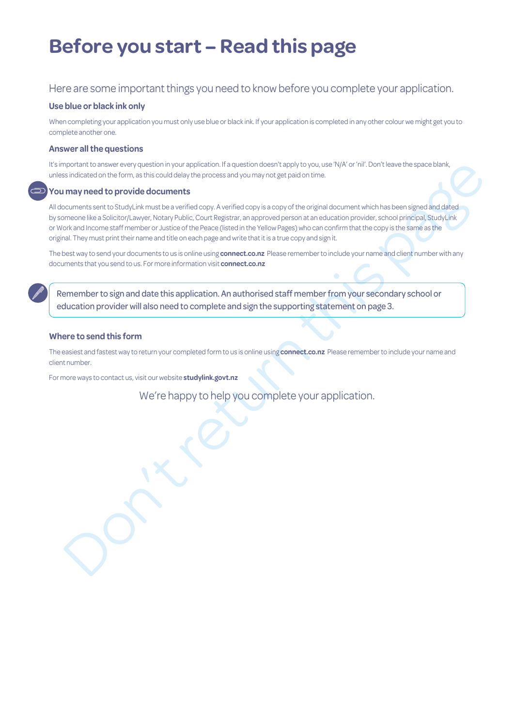# **Before you start – Read this page**

### Here are some important things you need to know before you complete your application.

### **Use blue or black ink only**

When completing your application you must only use blue or black ink. If your application is completed in any other colour we might get you to complete another one.

### **Answer all the questions**

It's important to answer every question in your application. If a question doesn't apply to you, use 'N/A' or 'nil'. Don't leave the space blank, unless indicated on the form, as this could delay the process and you may not get paid on time.

### **You may need to provide documents**

noot the move of wy considering the palacetic strands of control strands that the first consideration of the strands of the constraints that the set of the constraints and the movies of the constraints that the set of the All documents sent to StudyLink must be a verified copy. A verified copy is a copy of the original document which has been signed and dated by someone like a Solicitor/Lawyer, Notary Public, Court Registrar, an approved person at an education provider, school principal, StudyLink or Work and Income staff member or Justice of the Peace (listed in the Yellow Pages) who can confirm that the copy is the same as the original. They must print their name and title on each page and write that it is a true copy and sign it.

The best way to send your documents to us is online using **connect.co.nz**  Please remember to include your name and client number with any documents that you send to us. For more information visit **connect.co.nz**

Remember to sign and date this application. An authorised staff member from your secondary school or education provider will also need to complete and sign the supporting statement on page 3.

### **Where to send this form**

The easiest and fastest way to return your completed form to us is online using **connect.co.nz** Please remember to include your name and client number.

For more ways to contact us, visit our website **studylink.govt.nz**

We're happy to help you complete your application.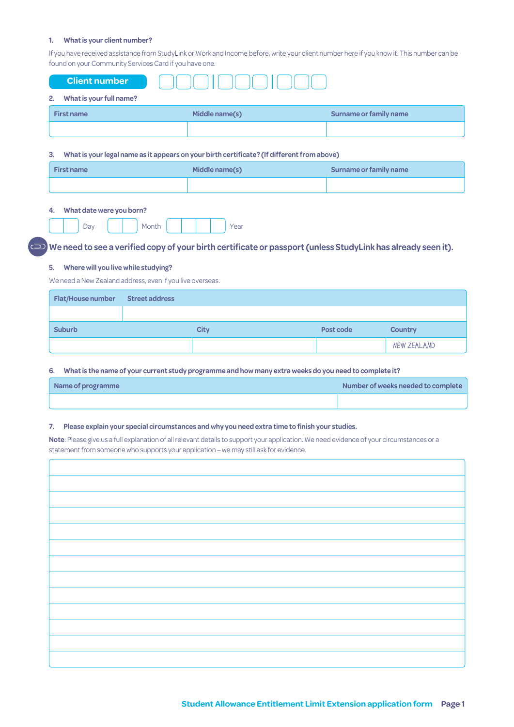#### **1. What is your client number?**

If you have received assistance from StudyLink or Work and Income before, write your client number here if you know it. This number can be found on your Community Services Card if you have one.

| <b>Client number</b>          |                |                        |
|-------------------------------|----------------|------------------------|
| What is your full name?<br>2. |                |                        |
| <b>First name</b>             | Middle name(s) | Surname or family name |
|                               |                |                        |
|                               |                |                        |

#### **3. What is your legal name as it appears on your birth certificate? (If different from above)**

| <b>First name</b> | Middle name(s) | Surname or family name |  |  |
|-------------------|----------------|------------------------|--|--|
|                   |                |                        |  |  |

#### **4. What date were you born?**

|--|--|--|--|--|--|--|--|--|

### $\mathbb D$  We need to see a verified copy of your birth certificate or passport (unless StudyLink has already seen it).

#### **5. Where will you live while studying?**

We need a New Zealand address, even if you live overseas.

| <b>Flat/House number</b> | Street address |      |           |                |
|--------------------------|----------------|------|-----------|----------------|
|                          |                |      |           |                |
| <b>Suburb</b>            |                | City | Post code | <b>Country</b> |
|                          |                |      |           | NEW ZEALAND    |

#### **6. What is the name of your current study programme and how many extra weeks do you need to complete it?**

| Name of programme | Number of weeks needed to complete |
|-------------------|------------------------------------|
|                   |                                    |

#### **7. Please explain your special circumstances and why you need extra time to finish your studies.**

**Note**: Please give us a full explanation of all relevant details to support your application. We need evidence of your circumstances or a statement from someone who supports your application – we may still ask for evidence.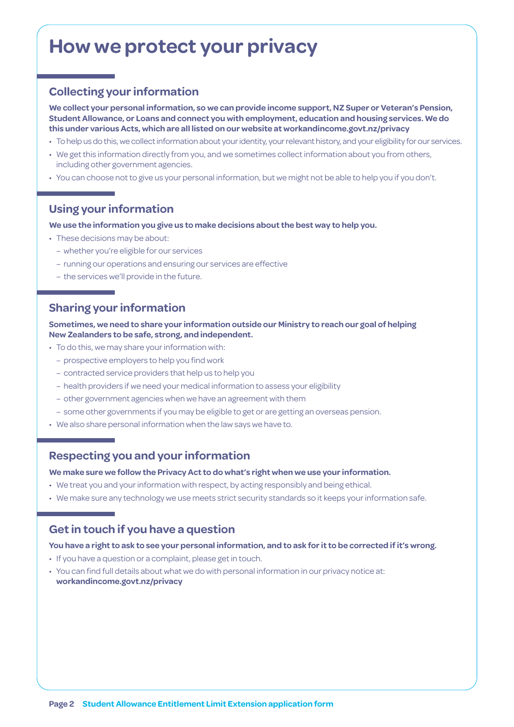# **How we protect your privacy**

## **Collecting your information**

**We collect your personal information, so we can provide income support, NZ Super or Veteran's Pension, Student Allowance, or Loans and connect you with employment, education and housing services. We do this under various Acts, which are all listed on our website at [workandincome.govt.nz/p](http://www.workandincome.govt.nz/about-work-and-income/privacy-notice/index.html)rivacy**

- To help us do this, we collect information about your identity, your relevant history, and your eligibility for our services.
- We get this information directly from you, and we sometimes collect information about you from others, including other government agencies.
- You can choose not to give us your personal information, but we might not be able to help you if you don't.

## **Using your information**

**We use the information you give us to make decisions about the best way to help you.**

- These decisions may be about:
	- whether you're eligible for our services
	- running our operations and ensuring our services are effective
	- the services we'll provide in the future.

## **Sharing your information**

**Sometimes, we need to share your information outside our Ministry to reach our goal of helping New Zealanders to be safe, strong, and independent.**

- To do this, we may share your information with:
	- prospective employers to help you find work
	- contracted service providers that help us to help you
	- health providers if we need your medical information to assess your eligibility
	- other government agencies when we have an agreement with them
	- some other governments if you may be eligible to get or are getting an overseas pension.
- We also share personal information when the law says we have to.

### **Respecting you and your information**

**We make sure we follow the Privacy Act to do what's right when we use your information.**

- We treat you and your information with respect, by acting responsibly and being ethical.
- We make sure any technology we use meets strict security standards so it keeps your information safe.

## **Get in touch if you have a question**

### **You have a right to ask to see your personal information, and to ask for it to be corrected if it's wrong.**

- If you have a question or a complaint, please get in touch.
- You can find full details about what we do with personal information in our privacy notice at: **[workandincome.govt.nz/p](http://www.workandincome.govt.nz/about-work-and-income/privacy-notice/index.html)rivacy**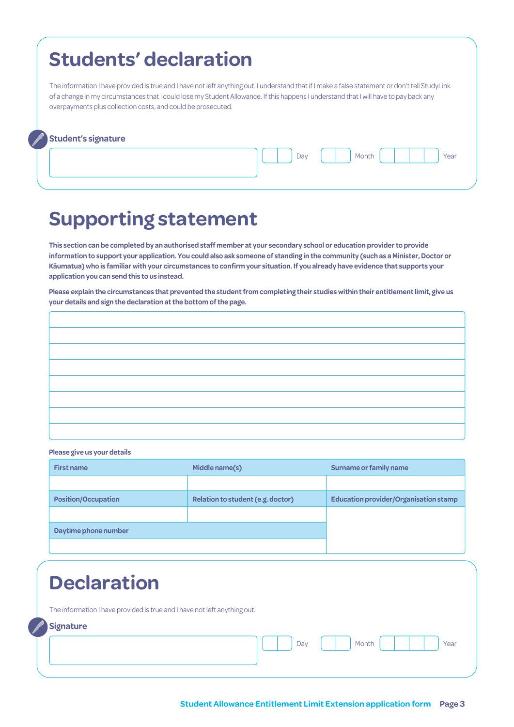# **Students' declaration**

The information I have provided is true and I have not left anything out. I understand that if I make a false statement or don't tell StudyLink of a change in my circumstances that I could lose my Student Allowance. If this happens I understand that I will have to pay back any overpayments plus collection costs, and could be prosecuted.

### **Student's signature**

Day | | | Month | | | | | | Year

# **Supporting statement**

**This section can be completed by an authorised staff member at your secondary school or education provider to provide information to support your application. You could also ask someone of standing in the community (such as a Minister, Doctor or Kāumatua) who is familiar with your circumstances to confirm your situation. If you already have evidence that supports your application you can send this to us instead.**

**Please explain the circumstances that prevented the student from completing their studies within their entitlement limit, give us your details and sign the declaration at the bottom of the page.**

| <u> 1989 - Johann Barn, amerikansk politiker (d. 1989)</u>                                                              |                                                                                                                      |  |
|-------------------------------------------------------------------------------------------------------------------------|----------------------------------------------------------------------------------------------------------------------|--|
| <u>la serie de la contrada de la contrada de la contrada de la contrada de la contrada de la contrada de la con</u> tra |                                                                                                                      |  |
|                                                                                                                         |                                                                                                                      |  |
|                                                                                                                         | <u> 1989 - Jan Samuel Barbara, margaret eta idazlearen 19a - Jan Samuel Barbara, harta harta harta harta harta h</u> |  |
| <u> 1989 - Johann Barn, amerikansk politiker (d. 1989)</u>                                                              |                                                                                                                      |  |
| <u> 1980 - Johann Barn, amerikan bestemanns og forskellige og det forskellige og det forskellige og det forskellig</u>  |                                                                                                                      |  |
|                                                                                                                         |                                                                                                                      |  |
| the contract of the contract of the contract of the contract of the contract of the contract of the contract of         |                                                                                                                      |  |

**Please give us your details**

| <b>First name</b>          | Middle name(s)                    | Surname or family name                       |
|----------------------------|-----------------------------------|----------------------------------------------|
|                            |                                   |                                              |
| <b>Position/Occupation</b> | Relation to student (e.g. doctor) | <b>Education provider/Organisation stamp</b> |
|                            |                                   |                                              |
| Daytime phone number       |                                   |                                              |
|                            |                                   |                                              |

# **Declaration**

The information I have provided is true and I have not left anything out.

### **Signature**

Day | | | Month | | | | | | Year